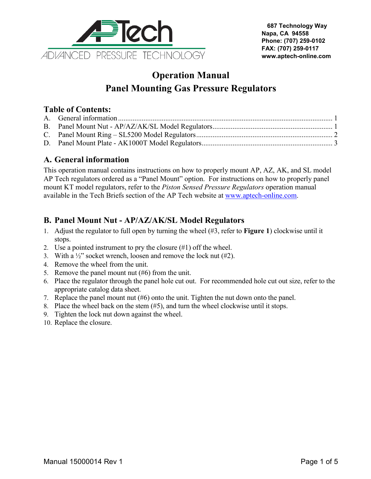

# **Operation Manual Panel Mounting Gas Pressure Regulators**

## **Table of Contents:**

### <span id="page-0-0"></span>**A. General information**

This operation manual contains instructions on how to properly mount AP, AZ, AK, and SL model AP Tech regulators ordered as a "Panel Mount" option. For instructions on how to properly panel mount KT model regulators, refer to the *Piston Sensed Pressure Regulators* operation manual available in the Tech Briefs section of the AP Tech website at [www.aptech-online.com.](http://www.aptech-online.com/home.aspx)

# <span id="page-0-1"></span>**B. Panel Mount Nut - AP/AZ/AK/SL Model Regulators**

- 1. Adjust the regulator to full open by turning the wheel (#3, refer to **[Figure 1](#page-1-1)**) clockwise until it stops.
- 2. Use a pointed instrument to pry the closure (#1) off the wheel.
- 3. With a  $\frac{1}{2}$  socket wrench, loosen and remove the lock nut (#2).
- 4. Remove the wheel from the unit.
- 5. Remove the panel mount nut (#6) from the unit.
- 6. Place the regulator through the panel hole cut out. For recommended hole cut out size, refer to the appropriate catalog data sheet.
- 7. Replace the panel mount nut (#6) onto the unit. Tighten the nut down onto the panel.
- 8. Place the wheel back on the stem (#5), and turn the wheel clockwise until it stops.
- 9. Tighten the lock nut down against the wheel.
- 10. Replace the closure.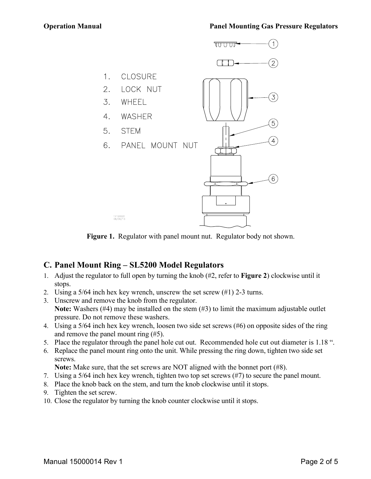

**Figure 1.** Regulator with panel mount nut. Regulator body not shown.

#### <span id="page-1-1"></span><span id="page-1-0"></span>**C. Panel Mount Ring – SL5200 Model Regulators**

- 1. Adjust the regulator to full open by turning the knob (#2, refer to **[Figure 2](#page-2-1)**) clockwise until it stops.
- 2. Using a 5/64 inch hex key wrench, unscrew the set screw (#1) 2-3 turns.
- 3. Unscrew and remove the knob from the regulator. **Note:** Washers (#4) may be installed on the stem (#3) to limit the maximum adjustable outlet pressure. Do not remove these washers.
- 4. Using a 5/64 inch hex key wrench, loosen two side set screws (#6) on opposite sides of the ring and remove the panel mount ring (#5).
- 5. Place the regulator through the panel hole cut out. Recommended hole cut out diameter is 1.18 ".
- 6. Replace the panel mount ring onto the unit. While pressing the ring down, tighten two side set screws.

**Note:** Make sure, that the set screws are NOT aligned with the bonnet port (#8).

- 7. Using a 5/64 inch hex key wrench, tighten two top set screws (#7) to secure the panel mount.
- 8. Place the knob back on the stem, and turn the knob clockwise until it stops.
- 9. Tighten the set screw.
- 10. Close the regulator by turning the knob counter clockwise until it stops.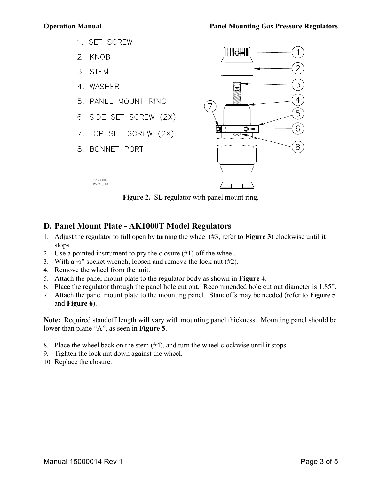- 1. SET SCREW
- 2. KNOB
- 3. STEM
- 4. WASHER
- 5. PANEL MOUNT RING
- 6. SIDE SET SCREW (2X)
- 7. TOP SET SCREW (2X)
- 8. BONNET PORT

12520000<br>05/18/10



Figure 2. SL regulator with panel mount ring.

## <span id="page-2-1"></span><span id="page-2-0"></span>**D. Panel Mount Plate - AK1000T Model Regulators**

- 1. Adjust the regulator to full open by turning the wheel (#3, refer to **[Figure 3](#page-3-0)**) clockwise until it stops.
- 2. Use a pointed instrument to pry the closure (#1) off the wheel.
- 3. With a  $\frac{1}{2}$  socket wrench, loosen and remove the lock nut (#2).
- 4. Remove the wheel from the unit.
- 5. Attach the panel mount plate to the regulator body as shown in **[Figure 4](#page-3-1)**.
- 6. Place the regulator through the panel hole cut out. Recommended hole cut out diameter is 1.85".
- 7. Attach the panel mount plate to the mounting panel. Standoffs may be needed (refer to **[Figure 5](#page-4-0)** and **[Figure 6](#page-4-1)**).

**Note:** Required standoff length will vary with mounting panel thickness. Mounting panel should be lower than plane "A", as seen in **[Figure 5](#page-4-0)**.

- 8. Place the wheel back on the stem (#4), and turn the wheel clockwise until it stops.
- 9. Tighten the lock nut down against the wheel.
- 10. Replace the closure.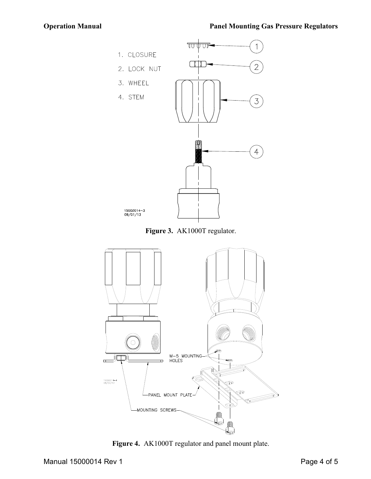



<span id="page-3-0"></span>

<span id="page-3-1"></span>**Figure 4.** AK1000T regulator and panel mount plate.